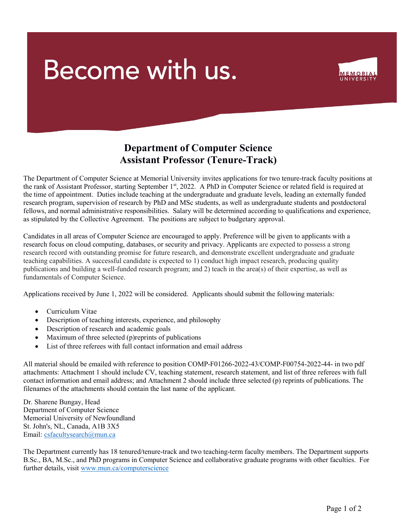## Become with us.



## Department of Computer Science Assistant Professor (Tenure-Track)

The Department of Computer Science at Memorial University invites applications for two tenure-track faculty positions at the rank of Assistant Professor, starting September 1<sup>st</sup>, 2022. A PhD in Computer Science or related field is required at the time of appointment. Duties include teaching at the undergraduate and graduate levels, leading an externally funded research program, supervision of research by PhD and MSc students, as well as undergraduate students and postdoctoral fellows, and normal administrative responsibilities. Salary will be determined according to qualifications and experience, as stipulated by the Collective Agreement. The positions are subject to budgetary approval.

Candidates in all areas of Computer Science are encouraged to apply. Preference will be given to applicants with a research focus on cloud computing, databases, or security and privacy. Applicants are expected to possess a strong research record with outstanding promise for future research, and demonstrate excellent undergraduate and graduate teaching capabilities. A successful candidate is expected to 1) conduct high impact research, producing quality publications and building a well-funded research program; and 2) teach in the area(s) of their expertise, as well as fundamentals of Computer Science.

Applications received by June 1, 2022 will be considered. Applicants should submit the following materials:

- Curriculum Vitae
- Description of teaching interests, experience, and philosophy
- Description of research and academic goals
- Maximum of three selected (p)reprints of publications
- List of three referees with full contact information and email address

All material should be emailed with reference to position COMP-F01266-2022-43/COMP-F00754-2022-44- in two pdf attachments: Attachment 1 should include CV, teaching statement, research statement, and list of three referees with full contact information and email address; and Attachment 2 should include three selected (p) reprints of publications. The filenames of the attachments should contain the last name of the applicant.

Dr. Sharene Bungay, Head Department of Computer Science Memorial University of Newfoundland St. John's, NL, Canada, A1B 3X5 Email: csfacultysearch@mun.ca

The Department currently has 18 tenured/tenure-track and two teaching-term faculty members. The Department supports B.Sc., BA, M.Sc., and PhD programs in Computer Science and collaborative graduate programs with other faculties. For further details, visit www.mun.ca/computerscience